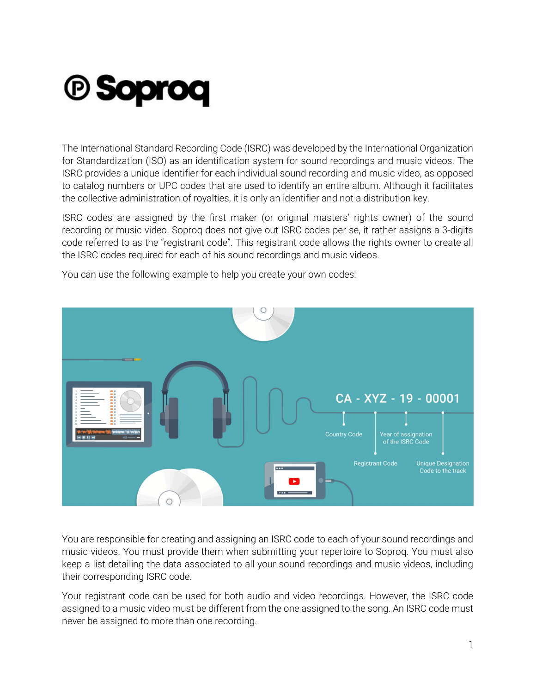## *<b>@ Soproq*

The International Standard Recording Code (ISRC) was developed by the International Organization for Standardization (ISO) as an identification system for sound recordings and music videos. The ISRC provides a unique identifier for each individual sound recording and music video, as opposed to catalog numbers or UPC codes that are used to identify an entire album. Although it facilitates the collective administration of royalties, it is only an identifier and not a distribution key.

ISRC codes are assigned by the first maker (or original masters' rights owner) of the sound recording or music video. Soproq does not give out ISRC codes per se, it rather assigns a 3-digits code referred to as the "registrant code". This registrant code allows the rights owner to create all the ISRC codes required for each of his sound recordings and music videos.



You can use the following example to help you create your own codes:

You are responsible for creating and assigning an ISRC code to each of your sound recordings and music videos. You must provide them when submitting your repertoire to Soproq. You must also keep a list detailing the data associated to all your sound recordings and music videos, including their corresponding ISRC code.

Your registrant code can be used for both audio and video recordings. However, the ISRC code assigned to a music video must be different from the one assigned to the song. An ISRC code must never be assigned to more than one recording.